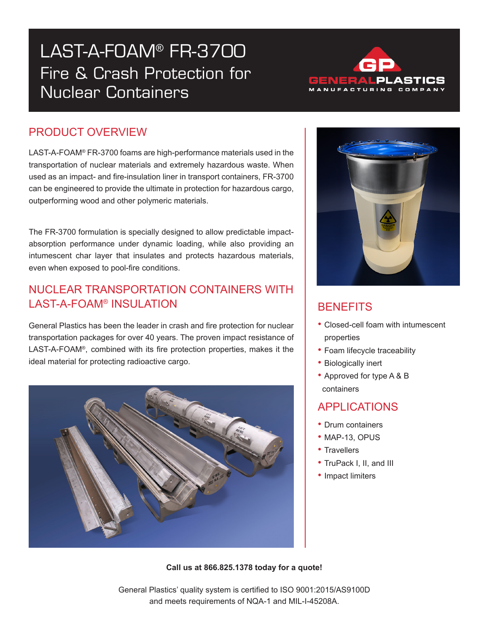# LAST-A-FOAM® FR-3700 Fire & Crash Protection for Nuclear Containers



## PRODUCT OVERVIEW

LAST-A-FOAM® FR-3700 foams are high-performance materials used in the transportation of nuclear materials and extremely hazardous waste. When used as an impact- and fire-insulation liner in transport containers, FR-3700 can be engineered to provide the ultimate in protection for hazardous cargo, outperforming wood and other polymeric materials.

The FR-3700 formulation is specially designed to allow predictable impactabsorption performance under dynamic loading, while also providing an intumescent char layer that insulates and protects hazardous materials, even when exposed to pool-fire conditions.

#### NUCLEAR TRANSPORTATION CONTAINERS WITH LAST-A-FOAM® INSULATION

General Plastics has been the leader in crash and fire protection for nuclear transportation packages for over 40 years. The proven impact resistance of LAST-A-FOAM®, combined with its fire protection properties, makes it the ideal material for protecting radioactive cargo.





# **BENEFITS**

- Closed-cell foam with intumescent properties
- Foam lifecycle traceability
- Biologically inert
- Approved for type A & B containers

### APPLICATIONS

- Drum containers
- MAP-13, OPUS
- Travellers
- TruPack I, II, and III
- Impact limiters

**Call us at 866.825.1378 today for a quote!**

General Plastics' quality system is certified to ISO 9001:2015/AS9100D and meets requirements of NQA-1 and MIL-I-45208A.